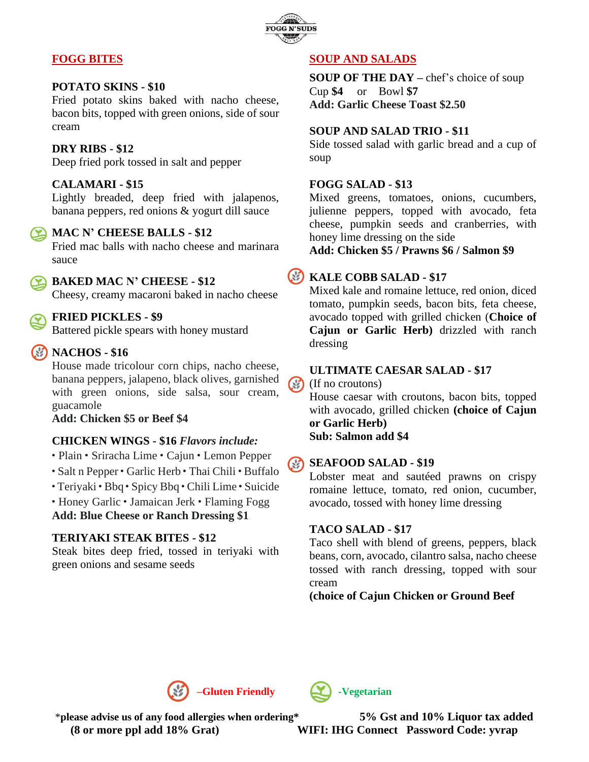

## **FOGG BITES**

## **POTATO SKINS - \$10**

Fried potato skins baked with nacho cheese, bacon bits, topped with green onions, side of sour cream

## **DRY RIBS - \$12**

Deep fried pork tossed in salt and pepper

## **CALAMARI - \$15**

Lightly breaded, deep fried with jalapenos, banana peppers, red onions & yogurt dill sauce

## **MAC N' CHEESE BALLS - \$12**

Fried mac balls with nacho cheese and marinara sauce



# **BAKED MAC N' CHEESE - \$12**

Cheesy, creamy macaroni baked in nacho cheese

## **FRIED PICKLES - \$9**

Battered pickle spears with honey mustard

# **NACHOS - \$16**

House made tricolour corn chips, nacho cheese, banana peppers, jalapeno, black olives, garnished with green onions, side salsa, sour cream, guacamole

**Add: Chicken \$5 or Beef \$4**

## **CHICKEN WINGS - \$16** *Flavors include:*

- ᛫ Plain ᛫ Sriracha Lime ᛫ Cajun ᛫ Lemon Pepper
- ᛫ Salt n Pepper ᛫ Garlic Herb ᛫ Thai Chili ᛫ Buffalo
- ᛫ Teriyaki ᛫ Bbq ᛫ Spicy Bbq ᛫ Chili Lime ᛫ Suicide
- ᛫ Honey Garlic ᛫ Jamaican Jerk ᛫ Flaming Fogg

**Add: Blue Cheese or Ranch Dressing \$1**

## **TERIYAKI STEAK BITES - \$12**

Steak bites deep fried, tossed in teriyaki with green onions and sesame seeds

## **SOUP AND SALADS**

**SOUP OF THE DAY** – chef's choice of soup Cup **\$4** or Bowl **\$7 Add: Garlic Cheese Toast \$2.50**

## **SOUP AND SALAD TRIO - \$11**

Side tossed salad with garlic bread and a cup of soup

## **FOGG SALAD - \$13**

Mixed greens, tomatoes, onions, cucumbers, julienne peppers, topped with avocado, feta cheese, pumpkin seeds and cranberries, with honey lime dressing on the side

**Add: Chicken \$5 / Prawns \$6 / Salmon \$9**

# **KALE COBB SALAD - \$17**

Mixed kale and romaine lettuce, red onion, diced tomato, pumpkin seeds, bacon bits, feta cheese, avocado topped with grilled chicken (**Choice of Cajun or Garlic Herb)** drizzled with ranch dressing

## **ULTIMATE CAESAR SALAD - \$17**

 $(\%)$ (If no croutons)

> House caesar with croutons, bacon bits, topped with avocado, grilled chicken **(choice of Cajun or Garlic Herb)**

# **Sub: Salmon add \$4**

#### **SEAFOOD SALAD - \$19** (S)

Lobster meat and sautéed prawns on crispy romaine lettuce, tomato, red onion, cucumber, avocado, tossed with honey lime dressing

## **TACO SALAD - \$17**

Taco shell with blend of greens, peppers, black beans, corn, avocado, cilantro salsa, nacho cheese tossed with ranch dressing, topped with sour cream

## **(choice of Cajun Chicken or Ground Beef**



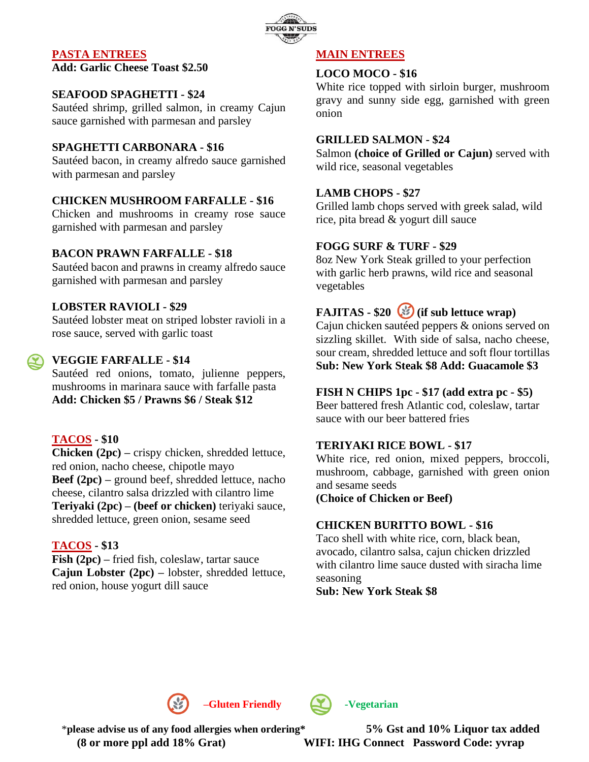

## **PASTA ENTREES**

**Add: Garlic Cheese Toast \$2.50**

## **SEAFOOD SPAGHETTI - \$24**

Sautéed shrimp, grilled salmon, in creamy Cajun sauce garnished with parmesan and parsley

#### **SPAGHETTI CARBONARA - \$16**

Sautéed bacon, in creamy alfredo sauce garnished with parmesan and parsley

### **CHICKEN MUSHROOM FARFALLE - \$16**

Chicken and mushrooms in creamy rose sauce garnished with parmesan and parsley

#### **BACON PRAWN FARFALLE - \$18**

Sautéed bacon and prawns in creamy alfredo sauce garnished with parmesan and parsley

#### **LOBSTER RAVIOLI - \$29**

Sautéed lobster meat on striped lobster ravioli in a rose sauce, served with garlic toast

## **VEGGIE FARFALLE - \$14**

Sautéed red onions, tomato, julienne peppers, mushrooms in marinara sauce with farfalle pasta **Add: Chicken \$5 / Prawns \$6 / Steak \$12**

#### **TACOS - \$10**

**Chicken (2pc) –** crispy chicken, shredded lettuce, red onion, nacho cheese, chipotle mayo **Beef (2pc) –** ground beef, shredded lettuce, nacho cheese, cilantro salsa drizzled with cilantro lime **Teriyaki (2pc) – (beef or chicken)** teriyaki sauce, shredded lettuce, green onion, sesame seed

#### **TACOS - \$13**

**Fish (2pc) –** fried fish, coleslaw, tartar sauce **Cajun Lobster (2pc) –** lobster, shredded lettuce, red onion, house yogurt dill sauce

#### **MAIN ENTREES**

#### **LOCO MOCO - \$16**

White rice topped with sirloin burger, mushroom gravy and sunny side egg, garnished with green onion

### **GRILLED SALMON - \$24**

Salmon **(choice of Grilled or Cajun)** served with wild rice, seasonal vegetables

#### **LAMB CHOPS - \$27**

Grilled lamb chops served with greek salad, wild rice, pita bread & yogurt dill sauce

#### **FOGG SURF & TURF - \$29**

8oz New York Steak grilled to your perfection with garlic herb prawns, wild rice and seasonal vegetables

**FAJITAS - \$20 (if sub lettuce wrap)**

Cajun chicken sautéed peppers & onions served on sizzling skillet. With side of salsa, nacho cheese, sour cream, shredded lettuce and soft flour tortillas **Sub: New York Steak \$8 Add: Guacamole \$3**

#### **FISH N CHIPS 1pc - \$17 (add extra pc - \$5)**

Beer battered fresh Atlantic cod, coleslaw, tartar sauce with our beer battered fries

#### **TERIYAKI RICE BOWL - \$17**

White rice, red onion, mixed peppers, broccoli, mushroom, cabbage, garnished with green onion and sesame seeds

**(Choice of Chicken or Beef)**

#### **CHICKEN BURITTO BOWL - \$16**

Taco shell with white rice, corn, black bean, avocado, cilantro salsa, cajun chicken drizzled with cilantro lime sauce dusted with siracha lime seasoning

**Sub: New York Steak \$8**





\***please advise us of any food allergies when ordering\* 5% Gst and 10% Liquor tax added (8 or more ppl add 18% Grat) WIFI: IHG Connect Password Code: yvrap**